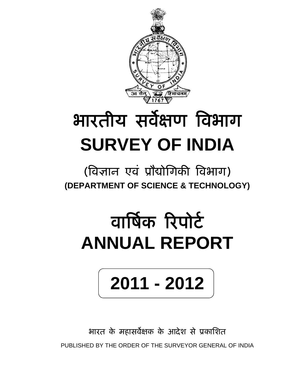

## भारतीय सर्वेक्षण विभाग **SURVEY OF INDIA**

## (िवज्ञान एवं ूौद्योिगकी िवभाग) **(DEPARTMENT OF SCIENCE & TECHNOLOGY)**

## वार्षिक रिपोर्ट **ANNUAL REPORT**

# **2011 - 2012**

भारत के महासर्वेक्षक के आदेश से प्रकाशित PUBLISHED BY THE ORDER OF THE SURVEYOR GENERAL OF INDIA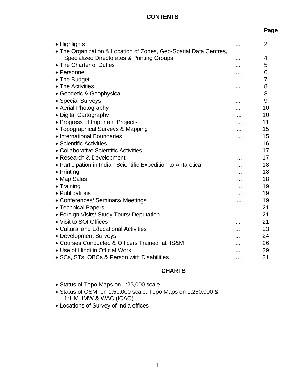#### **CONTENTS**

| • Highlights                                                      |   | $\overline{2}$ |
|-------------------------------------------------------------------|---|----------------|
| • The Organization & Location of Zones, Geo-Spatial Data Centres, |   |                |
| Specialized Directorates & Printing Groups                        |   | 4              |
| • The Charter of Duties                                           | . | 5              |
| • Personnel                                                       |   | 6              |
| • The Budget                                                      |   | 7              |
| • The Activities                                                  |   | 8              |
| • Geodetic & Geophysical                                          |   | 8              |
| • Special Surveys                                                 | . | 9              |
| • Aerial Photography                                              |   | 10             |
| • Digital Cartography                                             |   | 10             |
| • Progress of Important Projects                                  |   | 11             |
| • Topographical Surveys & Mapping                                 |   | 15             |
| • International Boundaries                                        |   | 15             |
| • Scientific Activities                                           | . | 16             |
| • Collaborative Scientific Activities                             | . | 17             |
| • Research & Development                                          |   | 17             |
| • Participation in Indian Scientific Expedition to Antarctica     |   | 18             |
| $\bullet$ Printing                                                |   | 18             |
| • Map Sales                                                       |   | 18             |
| $\bullet$ Training                                                | . | 19             |
| • Publications                                                    |   | 19             |
| • Conferences/ Seminars/ Meetings                                 |   | 19             |
| • Technical Papers                                                |   | 21             |
| • Foreign Visits/ Study Tours/ Deputation                         |   | 21             |
| • Visit to SOI Offices                                            |   | 21             |
| • Cultural and Educational Activities                             |   | 23             |
| • Development Surveys                                             |   | 24             |
| • Courses Conducted & Officers Trained at IIS&M                   |   | 26             |
| • Use of Hindi in Official Work                                   |   | 29             |
| • SCs, STs, OBCs & Person with Disabilities                       | . | 31             |
|                                                                   |   |                |

## **CHARTS**

- Status of Topo Maps on 1:25,000 scale
- Status of OSM on 1:50,000 scale, Topo Maps on 1:250,000 & 1:1 M IMW & WAC (ICAO)
- Locations of Survey of India offices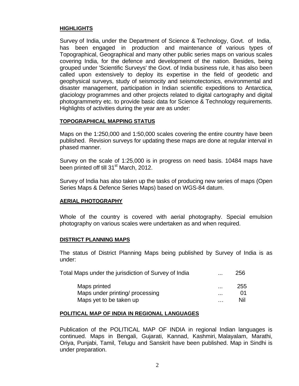#### **HIGHLIGHTS**

Survey of India, under the Department of Science & Technology, Govt. of India, has been engaged in production and maintenance of various types of Topographical, Geographical and many other public series maps on various scales covering India, for the defence and development of the nation. Besides, being grouped under 'Scientific Surveys' the Govt. of India business rule, it has also been called upon extensively to deploy its expertise in the field of geodetic and geophysical surveys, study of seismocity and seismotectonics, environmental and disaster management, participation in Indian scientific expeditions to Antarctica, glaciology programmes and other projects related to digital cartography and digital photogrammetry etc. to provide basic data for Science & Technology requirements. Highlights of activities during the year are as under:

#### **TOPOGRAPHICAL MAPPING STATUS**

Maps on the 1:250,000 and 1:50,000 scales covering the entire country have been published. Revision surveys for updating these maps are done at regular interval in phased manner.

Survey on the scale of 1:25,000 is in progress on need basis. 10484 maps have been printed off till 31<sup>st</sup> March, 2012.

Survey of India has also taken up the tasks of producing new series of maps (Open Series Maps & Defence Series Maps) based on WGS-84 datum.

#### **AERIAL PHOTOGRAPHY**

Whole of the country is covered with aerial photography. Special emulsion photography on various scales were undertaken as and when required.

#### **DISTRICT PLANNING MAPS**

The status of District Planning Maps being published by Survey of India is as under:

| Total Maps under the jurisdiction of Survey of India | $\cdots$ | 256 |
|------------------------------------------------------|----------|-----|
| Maps printed                                         |          | 255 |
| Maps under printing/ processing                      |          | 01  |
| Maps yet to be taken up                              | .        | Nil |

#### **POLITICAL MAP OF INDIA IN REGIONAL LANGUAGES**

Publication of the POLITICAL MAP OF INDIA in regional Indian languages is continued. Maps in Bengali, Gujarati, Kannad, Kashmiri, Malayalam, Marathi, Oriya, Punjabi, Tamil, Telugu and Sanskrit have been published. Map in Sindhi is under preparation.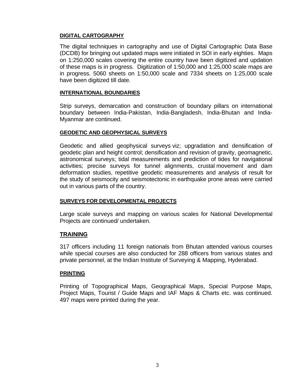#### **DIGITAL CARTOGRAPHY**

The digital techniques in cartography and use of Digital Cartographic Data Base (DCDB) for bringing out updated maps were initiated in SOI in early eighties. Maps on 1:250,000 scales covering the entire country have been digitized and updation of these maps is in progress. Digitization of 1:50,000 and 1:25,000 scale maps are in progress. 5060 sheets on 1:50,000 scale and 7334 sheets on 1:25,000 scale have been digitized till date.

#### **INTERNATIONAL BOUNDARIES**

Strip surveys, demarcation and construction of boundary pillars on international boundary between India-Pakistan, India-Bangladesh, India-Bhutan and India-Myanmar are continued.

#### **GEODETIC AND GEOPHYSICAL SURVEYS**

Geodetic and allied geophysical surveys viz; upgradation and densification of geodetic plan and height control; densification and revision of gravity, geomagnetic, astronomical surveys; tidal measurements and prediction of tides for navigational activities; precise surveys for tunnel alignments, crustal movement and dam deformation studies, repetitive geodetic measurements and analysis of result for the study of seismocity and seismotectonic in earthquake prone areas were carried out in various parts of the country.

#### **SURVEYS FOR DEVELOPMENTAL PROJECTS**

Large scale surveys and mapping on various scales for National Developmental Projects are continued/ undertaken.

#### **TRAINING**

317 officers including 11 foreign nationals from Bhutan attended various courses while special courses are also conducted for 288 officers from various states and private personnel, at the Indian Institute of Surveying & Mapping, Hyderabad.

#### **PRINTING**

Printing of Topographical Maps, Geographical Maps, Special Purpose Maps, Project Maps, Tourist / Guide Maps and IAF Maps & Charts etc. was continued. 497 maps were printed during the year.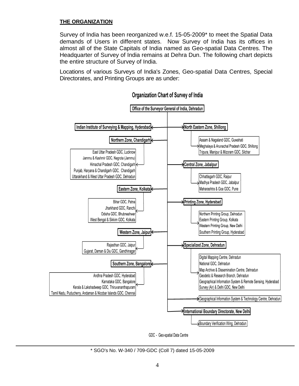#### **THE ORGANIZATION**

Survey of India has been reorganized w.e.f. 15-05-2009\* to meet the Spatial Data demands of Users in different states. Now Survey of India has its offices in almost all of the State Capitals of India named as Geo-spatial Data Centres. The Headquarter of Survey of India remains at Dehra Dun. The following chart depicts the entire structure of Survey of India.

Locations of various Surveys of India's Zones, Geo-spatial Data Centres, Special Directorates, and Printing Groups are as under:



#### **Organization Chart of Survey of India**

GDC - Geo-spatial Data Centre

\* SGO's No. W-340 / 709-GDC (Coll 7) dated 15-05-2009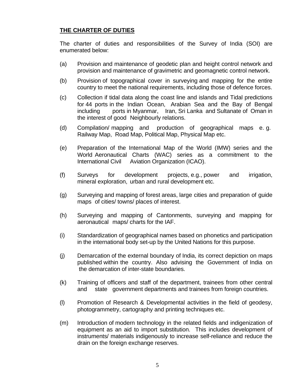### **THE CHARTER OF DUTIES**

The charter of duties and responsibilities of the Survey of India (SOI) are enumerated below:

- (a) Provision and maintenance of geodetic plan and height control network and provision and maintenance of gravimetric and geomagnetic control network.
- (b) Provision of topographical cover in surveying and mapping for the entire country to meet the national requirements, including those of defence forces.
- (c) Collection if tidal data along the coast line and islands and Tidal predictions for 44 ports in the Indian Ocean, Arabian Sea and the Bay of Bengal including ports in Myanmar, Iran, Sri Lanka and Sultanate of Oman in the interest of good Neighbourly relations.
- (d) Compilation/ mapping and production of geographical maps e. g. Railway Map, Road Map, Political Map, Physical Map etc.
- (e) Preparation of the International Map of the World (IMW) series and the World Aeronautical Charts (WAC) series as a commitment to the International Civil Aviation Organization (ICAO).
- (f) Surveys for development projects, e.g., power and irrigation, mineral exploration, urban and rural development etc.
- (g) Surveying and mapping of forest areas, large cities and preparation of guide maps of cities/ towns/ places of interest.
- (h) Surveying and mapping of Cantonments, surveying and mapping for aeronautical maps/ charts for the IAF.
- (i) Standardization of geographical names based on phonetics and participation in the international body set-up by the United Nations for this purpose.
- (j) Demarcation of the external boundary of India, its correct depiction on maps published within the country. Also advising the Government of India on the demarcation of inter-state boundaries.
- (k) Training of officers and staff of the department, trainees from other central and state government departments and trainees from foreign countries.
- (l) Promotion of Research & Developmental activities in the field of geodesy, photogrammetry, cartography and printing techniques etc.
- (m) Introduction of modern technology in the related fields and indigenization of equipment as an aid to import substitution. This includes development of instruments/ materials indigenously to increase self-reliance and reduce the drain on the foreign exchange reserves.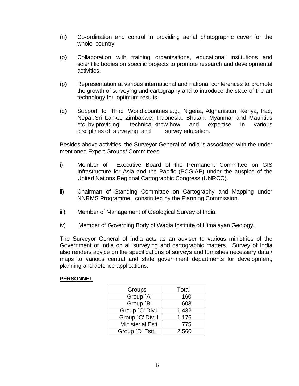- (n) Co-ordination and control in providing aerial photographic cover for the whole country.
- (o) Collaboration with training organizations, educational institutions and scientific bodies on specific projects to promote research and developmental activities.
- (p) Representation at various international and national conferences to promote the growth of surveying and cartography and to introduce the state-of-the-art technology for optimum results.
- (q) Support to Third World countries e.g., Nigeria, Afghanistan, Kenya, Iraq, Nepal, Sri Lanka, Zimbabwe, Indonesia, Bhutan, Myanmar and Mauritius etc. by providing technical know-how and expertise in various disciplines of surveying and survey education.

Besides above activities, the Surveyor General of India is associated with the under mentioned Expert Groups/ Committees.

- i) Member of Executive Board of the Permanent Committee on GIS Infrastructure for Asia and the Pacific (PCGIAP) under the auspice of the United Nations Regional Cartographic Congress (UNRCC).
- ii) Chairman of Standing Committee on Cartography and Mapping under NNRMS Programme, constituted by the Planning Commission.
- iii) Member of Management of Geological Survey of India.
- iv) Member of Governing Body of Wadia Institute of Himalayan Geology.

The Surveyor General of India acts as an adviser to various ministries of the Government of India on all surveying and cartographic matters. Survey of India also renders advice on the specifications of surveys and furnishes necessary data / maps to various central and state government departments for development, planning and defence applications.

#### **PERSONNEL**

| Groups                   | Total |
|--------------------------|-------|
| Group `A'                | 160   |
| Group `B'                | 603   |
| Group `C' Div.I          | 1,432 |
| Group `C' Div.II         | 1,176 |
| <b>Ministerial Estt.</b> | 775   |
| Group `D' Estt.          | 2,560 |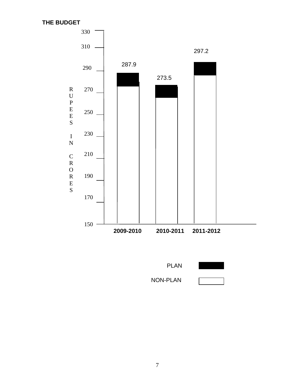**THE BUDGET**



PLAN

NON-PLAN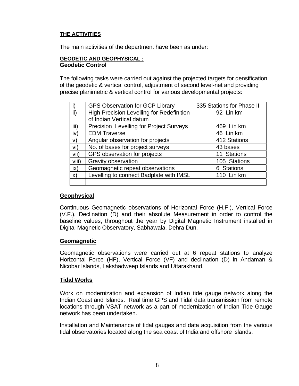#### **THE ACTIVITIES**

The main activities of the department have been as under:

#### **GEODETIC AND GEOPHYSICAL : Geodetic Control**

The following tasks were carried out against the projected targets for densification of the geodetic & vertical control, adjustment of second level-net and providing precise planimetric & vertical control for various developmental projects:

|               | <b>GPS Observation for GCP Library</b>    | 335 Stations for Phase II |
|---------------|-------------------------------------------|---------------------------|
| ii)           | High Precision Levelling for Redefinition | 92 Lin km                 |
|               | of Indian Vertical datum                  |                           |
| iii)          | Precision Levelling for Project Surveys   | 469 Lin km                |
| iv)           | <b>EDM Traverse</b>                       | 46 Lin km                 |
| V)            | Angular observation for projects          | 412 Stations              |
| vi)           | No. of bases for project surveys          | 43 bases                  |
| vii)          | GPS observation for projects              | 11 Stations               |
| viii)         | Gravity observation                       | 105 Stations              |
| $i\mathsf{x}$ | Geomagnetic repeat observations           | 6 Stations                |
| $\mathsf{x}$  | Levelling to connect Badplate with IMSL   | 110 Lin km                |
|               |                                           |                           |

#### **Geophysical**

Continuous Geomagnetic observations of Horizontal Force (H.F.), Vertical Force (V.F.), Declination (D) and their absolute Measurement in order to control the baseline values, throughout the year by Digital Magnetic Instrument installed in Digital Magnetic Observatory, Sabhawala, Dehra Dun.

#### **Geomagnetic**

Geomagnetic observations were carried out at 6 repeat stations to analyze Horizontal Force (HF), Vertical Force (VF) and declination (D) in Andaman & Nicobar Islands, Lakshadweep Islands and Uttarakhand.

#### **Tidal Works**

Work on modernization and expansion of Indian tide gauge network along the Indian Coast and Islands. Real time GPS and Tidal data transmission from remote locations through VSAT network as a part of modernization of Indian Tide Gauge network has been undertaken.

Installation and Maintenance of tidal gauges and data acquisition from the various tidal observatories located along the sea coast of India and offshore islands.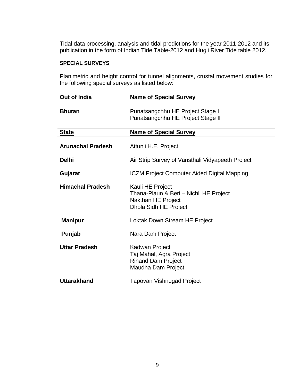Tidal data processing, analysis and tidal predictions for the year 2011-2012 and its publication in the form of Indian Tide Table-2012 and Hugli River Tide table 2012.

#### **SPECIAL SURVEYS**

Planimetric and height control for tunnel alignments, crustal movement studies for the following special surveys as listed below:

| Out of India             | <b>Name of Special Survey</b>                                                                             |
|--------------------------|-----------------------------------------------------------------------------------------------------------|
| <b>Bhutan</b>            | Punatsangchhu HE Project Stage I<br>Punatsangchhu HE Project Stage II                                     |
| <b>State</b>             | <b>Name of Special Survey</b>                                                                             |
| <b>Arunachal Pradesh</b> | Attunli H.E. Project                                                                                      |
| <b>Delhi</b>             | Air Strip Survey of Vansthali Vidyapeeth Project                                                          |
| Gujarat                  | <b>ICZM Project Computer Aided Digital Mapping</b>                                                        |
| <b>Himachal Pradesh</b>  | Kauli HE Project<br>Thana-Plaun & Beri - Nichli HE Project<br>Nakthan HE Project<br>Dhola Sidh HE Project |
| <b>Manipur</b>           | Loktak Down Stream HE Project                                                                             |
| Punjab                   | Nara Dam Project                                                                                          |
| <b>Uttar Pradesh</b>     | Kadwan Project<br>Taj Mahal, Agra Project<br><b>Rihand Dam Project</b><br>Maudha Dam Project              |
| <b>Uttarakhand</b>       | Tapovan Vishnugad Project                                                                                 |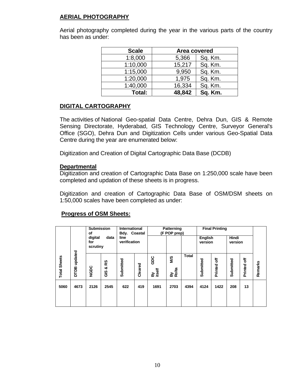### **AERIAL PHOTOGRAPHY**

Aerial photography completed during the year in the various parts of the country has been as under:

| <b>Scale</b> | Area covered |         |  |  |  |
|--------------|--------------|---------|--|--|--|
| 1:8,000      | 5,366        | Sq. Km. |  |  |  |
| 1:10,000     | 15,217       | Sq. Km. |  |  |  |
| 1:15,000     | 9,950        | Sq. Km. |  |  |  |
| 1:20,000     | 1,975        | Sq. Km. |  |  |  |
| 1:40,000     | 16,334       | Sq. Km. |  |  |  |
| Total:       | 48,842       | Sq. Km. |  |  |  |

#### **DIGITAL CARTOGRAPHY**

The activities of National Geo-spatial Data Centre, Dehra Dun, GIS & Remote Sensing Directorate, Hyderabad, GIS Technology Centre, Surveyor General's Office (SGO), Dehra Dun and Digitization Cells under various Geo-Spatial Data Centre during the year are enumerated below:

Digitization and Creation of Digital Cartographic Data Base (DCDB)

#### **Departmental**

Digitization and creation of Cartographic Data Base on 1:250,000 scale have been completed and updation of these sheets is in progress.

Digitization and creation of Cartographic Data Base of OSM/DSM sheets on 1:50,000 scales have been completed as under:

#### **Progress of OSM Sheets:**

|                     |                        | <b>Submission</b><br>of<br>digital | data           |              |         | International<br>Patterning<br>(F POP prep)<br>Bdy. Coastal<br>line |                           | <b>Final Printing</b><br><b>Hindi</b><br><b>English</b> |           |              |           |              |         |
|---------------------|------------------------|------------------------------------|----------------|--------------|---------|---------------------------------------------------------------------|---------------------------|---------------------------------------------------------|-----------|--------------|-----------|--------------|---------|
|                     |                        | for<br>scrutiny                    |                | verification |         |                                                                     |                           |                                                         | version   |              | version   |              |         |
| <b>Total Sheets</b> | updated<br><b>DTDB</b> | NGDC                               | RS<br>ఱ<br>GIS | Submitted    | Cleared | GDC<br>itself<br>İtself                                             | <b>NVS</b><br>By<br>Rolta | <b>Total</b>                                            | Submitted | F<br>Printed | Submitted | ă<br>Printed | Remarks |
| 5060                | 4673                   | 2126                               | 2545           | 622          | 419     | 1691                                                                | 2703                      | 4394                                                    | 4124      | 1422         | 208       | 13           |         |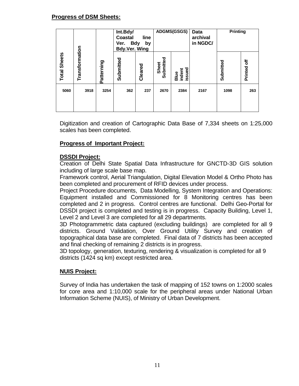#### **Progress of DSM Sheets:**

|                     |                                                                                                                                                                                                                                                                                                                                          |            | Int.Bdy/<br><b>Coastal</b> | line<br>Ver. Bdy<br>by<br><b>Bdy Ver. Wing</b> |                    | <b>ADGMS(GSGS)</b>       | Data<br>archival<br>in NGDC/                                                                                                                                                                                                                                                                                                                                                                                                                                                                                                                                                                                                                                                                                                                                                                                                                                                                                                                             | <b>Printing</b> |             |
|---------------------|------------------------------------------------------------------------------------------------------------------------------------------------------------------------------------------------------------------------------------------------------------------------------------------------------------------------------------------|------------|----------------------------|------------------------------------------------|--------------------|--------------------------|----------------------------------------------------------------------------------------------------------------------------------------------------------------------------------------------------------------------------------------------------------------------------------------------------------------------------------------------------------------------------------------------------------------------------------------------------------------------------------------------------------------------------------------------------------------------------------------------------------------------------------------------------------------------------------------------------------------------------------------------------------------------------------------------------------------------------------------------------------------------------------------------------------------------------------------------------------|-----------------|-------------|
| <b>Total Sheets</b> | Transformation                                                                                                                                                                                                                                                                                                                           | Patterning | Submitted                  | Cleared                                        | Submitted<br>Sheet | Blue<br>indent<br>issued |                                                                                                                                                                                                                                                                                                                                                                                                                                                                                                                                                                                                                                                                                                                                                                                                                                                                                                                                                          | Submitted       | Printed off |
| 5060                | 3918                                                                                                                                                                                                                                                                                                                                     | 3254       | 362                        | 237                                            | 2670               | 2384                     | 2167                                                                                                                                                                                                                                                                                                                                                                                                                                                                                                                                                                                                                                                                                                                                                                                                                                                                                                                                                     | 1098            | 263         |
|                     | scales has been completed.<br><b>Progress of Important Project:</b><br><b>DSSDI Project:</b><br>including of large scale base map.<br>Level 2 and Level 3 are completed for all 29 departments.<br>and final checking of remaining 2 districts is in progress.<br>districts (1424 sq km) except restricted area.<br><b>NUIS Project:</b> |            |                            |                                                |                    |                          | Digitization and creation of Cartographic Data Base of 7,334 sheets on 1:25<br>Creation of Delhi State Spatial Data Infrastructure for GNCTD-3D GIS sol<br>Framework control, Aerial Triangulation, Digital Elevation Model & Ortho Photo<br>been completed and procurement of RFID devices under process.<br>Project Procedure documents, Data Modelling, System Integration and Operat<br>Equipment installed and Commissioned for 8 Monitoring centres has<br>completed and 2 in progress. Control centres are functional. Delhi Geo-Port<br>DSSDI project is completed and testing is in progress. Capacity Building, Lev<br>3D Photogrammetric data captured (excluding buildings) are completed for<br>districts. Ground Validation, Over Ground Utility Survey and creatio<br>topographical data base are completed. Final data of 7 districts has been acce<br>3D topology, generation, texturing, rendering & visualization is completed for al |                 |             |
|                     | Survey of India has undertaken the task of mapping of 152 towns on 1:2000 s<br>for core area and 1:10,000 scale for the peripheral areas under National L<br>Information Scheme (NUIS), of Ministry of Urban Development.                                                                                                                |            |                            |                                                |                    |                          |                                                                                                                                                                                                                                                                                                                                                                                                                                                                                                                                                                                                                                                                                                                                                                                                                                                                                                                                                          |                 |             |

Digitization and creation of Cartographic Data Base of 7,334 sheets on 1:25,000 scales has been completed.

#### **Progress of Important Project:**

#### **DSSDI Project:**

Creation of Delhi State Spatial Data Infrastructure for GNCTD-3D GIS solution including of large scale base map.

Framework control, Aerial Triangulation, Digital Elevation Model & Ortho Photo has been completed and procurement of RFID devices under process.

Project Procedure documents, Data Modelling, System Integration and Operations: Equipment installed and Commissioned for 8 Monitoring centres has been completed and 2 in progress. Control centres are functional. Delhi Geo-Portal for DSSDI project is completed and testing is in progress. Capacity Building, Level 1, Level 2 and Level 3 are completed for all 29 departments.

3D Photogrammetric data captured (excluding buildings) are completed for all 9 districts. Ground Validation, Over Ground Utility Survey and creation of topographical data base are completed. Final data of 7 districts has been accepted and final checking of remaining 2 districts is in progress.

#### **NUIS Project:**

Survey of India has undertaken the task of mapping of 152 towns on 1:2000 scales for core area and 1:10,000 scale for the peripheral areas under National Urban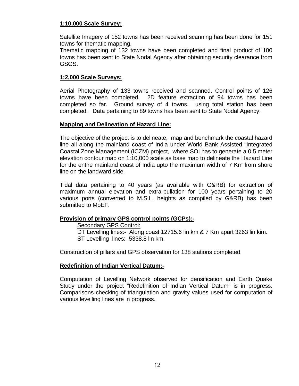#### **1:10,000 Scale Survey:**

Satellite Imagery of 152 towns has been received scanning has been done for 151 towns for thematic mapping.

Thematic mapping of 132 towns have been completed and final product of 100 towns has been sent to State Nodal Agency after obtaining security clearance from GSGS.

#### **1:2,000 Scale Surveys:**

Aerial Photography of 133 towns received and scanned. Control points of 126 towns have been completed. 2D feature extraction of 94 towns has been completed so far. Ground survey of 4 towns, using total station has been completed. Data pertaining to 89 towns has been sent to State Nodal Agency.

#### **Mapping and Delineation of Hazard Line:**

The objective of the project is to delineate, map and benchmark the coastal hazard line all along the mainland coast of India under World Bank Assisted "Integrated Coastal Zone Management (ICZM) project, where SOI has to generate a 0.5 meter elevation contour map on 1:10,000 scale as base map to delineate the Hazard Line for the entire mainland coast of India upto the maximum width of 7 Km from shore line on the landward side.

Tidal data pertaining to 40 years (as available with G&RB) for extraction of maximum annual elevation and extra-pullation for 100 years pertaining to 20 various ports (converted to M.S.L. heights as compiled by G&RB) has been submitted to MoEF.

#### **Provision of primary GPS control points (GCPs):-**

Secondary GPS Control:

 DT Levelling lines:- Along coast 12715.6 lin km & 7 Km apart 3263 lin kim. ST Levelling lines:- 5338.8 lin km.

Construction of pillars and GPS observation for 138 stations completed.

#### **Redefinition of Indian Vertical Datum:-**

Computation of Levelling Network observed for densification and Earth Quake Study under the project "Redefinition of Indian Vertical Datum" is in progress. Comparisons checking of triangulation and gravity values used for computation of various levelling lines are in progress.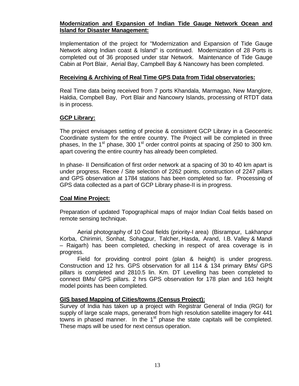#### **Modernization and Expansion of Indian Tide Gauge Network Ocean and Island for Disaster Management:**

Implementation of the project for "Modernization and Expansion of Tide Gauge Network along Indian coast & Island" is continued. Modernization of 28 Ports is completed out of 36 proposed under star Network. Maintenance of Tide Gauge Cabin at Port Blair, Aerial Bay, Campbell Bay & Nancowry has been completed.

#### **Receiving & Archiving of Real Time GPS Data from Tidal observatories:**

Real Time data being received from 7 ports Khandala, Marmagao, New Manglore, Haldia, Compbell Bay, Port Blair and Nancowry Islands, processing of RTDT data is in process.

#### **GCP Library:**

The project envisages setting of precise & consistent GCP Library in a Geocentric Coordinate system for the entire country. The Project will be completed in three phases, In the  $1<sup>st</sup>$  phase, 300  $1<sup>st</sup>$  order control points at spacing of 250 to 300 km. apart covering the entire country has already been completed.

In phase- II Densification of first order network at a spacing of 30 to 40 km apart is under progress. Recee / Site selection of 2262 points, construction of 2247 pillars and GPS observation at 1784 stations has been completed so far. Processing of GPS data collected as a part of GCP Library phase-II is in progress.

#### **Coal Mine Project:**

Preparation of updated Topographical maps of major Indian Coal fields based on remote sensing technique.

 Aerial photography of 10 Coal fields (priority-I area) (Bisrampur, Lakhanpur Korba, Chirimiri, Sonhat, Sohagpur, Talcher, Hasda, Arand, I.B. Valley & Mandi – Raigarh) has been completed, checking in respect of area coverage is in progress.

 Field for providing control point (plan & height) is under progress. Construction and 12 hrs. GPS observation for all 114 & 134 primary BMs/ GPS pillars is completed and 2810.5 lin. Km. DT Levelling has been completed to connect BMs/ GPS pillars. 2 hrs GPS observation for 178 plan and 163 height model points has been completed.

#### **GIS based Mapping of Cities/towns (Census Project):**

Survey of India has taken up a project with Registrar General of India (RGI) for supply of large scale maps, generated from high resolution satellite imagery for 441 towns in phased manner. In the 1<sup>st</sup> phase the state capitals will be completed. These maps will be used for next census operation.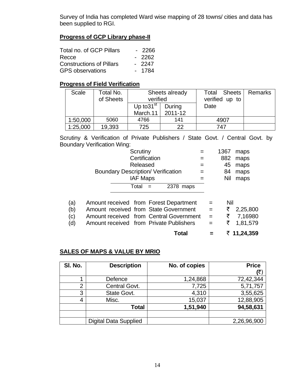Survey of India has completed Ward wise mapping of 28 towns/ cities and data has been supplied to RGI.

#### **Progress of GCP Library phase-II**

| Total no. of GCP Pillars        | - 2266  |
|---------------------------------|---------|
| Recce                           | $-2262$ |
| <b>Constructions of Pillars</b> | $-2247$ |
| <b>GPS</b> observations         | - 1784  |

#### **Progress of Field Verification**

| Scale    | Total No.<br>of Sheets | Sheets already<br>verified         |                   | Sheets<br>Total<br>verified up to | Remarks |
|----------|------------------------|------------------------------------|-------------------|-----------------------------------|---------|
|          |                        | Up to 31 $\mathrm{st}$<br>March.11 | During<br>2011-12 | Date                              |         |
| 1:50,000 | 5060                   | 4766                               | 141               | 4907                              |         |
| 1:25,000 | 19,393                 | 725                                | つつ                | 747                               |         |

Scrutiny & Verification of Private Publishers / State Govt. / Central Govt. by Boundary Verification Wing:

|     | Scrutiny                                  |               |              |     | 1367 | maps        |
|-----|-------------------------------------------|---------------|--------------|-----|------|-------------|
|     |                                           | Certification |              |     | 882  | maps        |
|     | Released                                  |               |              |     | 45   | maps        |
|     | <b>Boundary Description/ Verification</b> |               |              |     | 84   | maps        |
|     | <b>IAF Maps</b>                           |               |              |     | Nil  | maps        |
|     | Total                                     | $=$           | 2378<br>maps |     |      |             |
|     |                                           |               |              |     |      |             |
| (a) | Amount received from Forest Department    |               |              | $=$ | Nil  |             |
| (b) | Amount received from State Government     |               |              | $=$ | ₹    | 2,25,800    |
| (c) | Amount received from Central Government   |               |              | $=$ | ₹    | 7,16980     |
| (d) | Amount received from Private Publishers   |               |              |     | ₹    | 1,81,579    |
|     |                                           |               | Total        |     |      | ₹ 11,24,359 |

#### **SALES OF MAPS & VALUE BY MRIO**

| SI. No. | <b>Description</b>           | No. of copies | <b>Price</b> |
|---------|------------------------------|---------------|--------------|
|         |                              |               | (₹           |
|         | Defence                      | 1,24,868      | 72,42,344    |
| 2       | Central Govt.                | 7,725         | 5,71,757     |
| 3       | State Govt.                  | 4,310         | 3,55,625     |
| 4       | Misc.                        | 15,037        | 12,88,905    |
|         | Total                        | 1,51,940      | 94,58,631    |
|         |                              |               |              |
|         | <b>Digital Data Supplied</b> |               | 2,26,96,900  |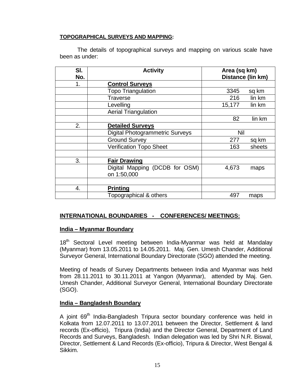#### **TOPOGRAPHICAL SURVEYS AND MAPPING:**

 The details of topographical surveys and mapping on various scale have been as under:

| SI.<br>No. | <b>Activity</b>                        | Area (sq km) | Distance (lin km) |
|------------|----------------------------------------|--------------|-------------------|
|            |                                        |              |                   |
| 1.         | <b>Control Surveys</b>                 |              |                   |
|            | <b>Topo Triangulation</b>              | 3345         | sq km             |
|            | Traverse                               | 216          | lin km            |
|            | Levelling                              | 15,177       | lin km            |
|            | <b>Aerial Triangulation</b>            |              |                   |
|            |                                        | 82           | lin km            |
| 2.         | <b>Detailed Surveys</b>                |              |                   |
|            | <b>Digital Photogrammetric Surveys</b> | Nil          |                   |
|            | <b>Ground Survey</b>                   | 277          | sq km             |
|            | <b>Verification Topo Sheet</b>         | 163          | sheets            |
|            |                                        |              |                   |
| 3.         | <b>Fair Drawing</b>                    |              |                   |
|            | Digital Mapping (DCDB for OSM)         | 4,673        | maps              |
|            | on 1:50,000                            |              |                   |
|            |                                        |              |                   |
| 4.         | <b>Printing</b>                        |              |                   |
|            | Topographical & others                 | 497          | maps              |

#### **INTERNATIONAL BOUNDARIES - CONFERENCES/ MEETINGS:**

#### **India – Myanmar Boundary**

18<sup>th</sup> Sectoral Level meeting between India-Myanmar was held at Mandalay (Myanmar) from 13.05.2011 to 14.05.2011. Maj. Gen. Umesh Chander, Additional Surveyor General, International Boundary Directorate (SGO) attended the meeting.

Meeting of heads of Survey Departments between India and Myanmar was held from 28.11.2011 to 30.11.2011 at Yangon (Myanmar), attended by Maj. Gen. Umesh Chander, Additional Surveyor General, International Boundary Directorate (SGO).

#### **India – Bangladesh Boundary**

A joint 69<sup>th</sup> India-Bangladesh Tripura sector boundary conference was held in Kolkata from 12.07.2011 to 13.07.2011 between the Director, Settlement & land records (Ex-officio), Tripura (India) and the Director General, Department of Land Records and Surveys, Bangladesh. Indian delegation was led by Shri N.R. Biswal, Director, Settlement & Land Records (Ex-officio), Tripura & Director, West Bengal & Sikkim.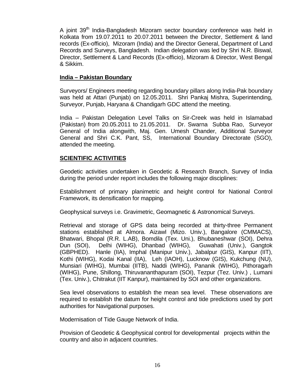A joint 39<sup>th</sup> India-Bangladesh Mizoram sector boundary conference was held in Kolkata from 19.07.2011 to 20.07.2011 between the Director, Settlement & land records (Ex-officio), Mizoram (India) and the Director General, Department of Land Records and Surveys, Bangladesh. Indian delegation was led by Shri N.R. Biswal, Director, Settlement & Land Records (Ex-officio), Mizoram & Director, West Bengal & Sikkim.

#### **India – Pakistan Boundary**

Surveyors/ Engineers meeting regarding boundary pillars along India-Pak boundary was held at Attari (Punjab) on 12.05.2011. Shri Pankaj Mishra, Superintending, Surveyor, Punjab, Haryana & Chandigarh GDC attend the meeting.

India – Pakistan Delegation Level Talks on Sir-Creek was held in Islamabad (Pakistan) from 20.05.2011 to 21.05.2011. Dr. Swarna Subba Rao, Surveyor General of India alongwith, Maj. Gen. Umesh Chander, Additional Surveyor General and Shri C.K. Pant, SS, International Boundary Directorate (SGO), attended the meeting.

#### **SCIENTIFIC ACTIVITIES**

Geodetic activities undertaken in Geodetic & Research Branch, Survey of India during the period under report includes the following major disciplines:

Establishment of primary planimetric and height control for National Control Framework, its densification for mapping.

Geophysical surveys i.e. Gravimetric, Geomagnetic & Astronomical Surveys.

Retrieval and storage of GPS data being recorded at thirty-three Permanent stations established at Almora. Aizawl (Mizo. Univ.), Bangalore (CMMACS), Bhatwari, Bhopal (R.R. L.AB), Bomdila (Tex. Uni.), Bhubaneshwar (SOI), Dehra Dun (SOI), Delhi (WIHG), Dhanbad (WIHG), Guwahati (Univ.), Gangtok (GBPHED). Hanle (IIA), Imphal (Manipur Univ.), Jabalpur (GIS), Kanpur (IIT), Kothi (WIHG), Kodai Kanal (IIA), Leh (IAOH), Lucknow (GIS), Kukchung (NU), Munsiari (WIHG), Mumbai (IITB), Naddi (WIHG), Pananik (WIHG), Pithoragarh (WIHG), Pune, Shillong, Thiruvananthapuram (SOI), Tezpur (Tez. Univ.) , Lumani (Tex. Univ.), Chitrakut (IIT Kanpur), maintained by SOI and other organizations.

Sea level observations to establish the mean sea level. These observations are required to establish the datum for height control and tide predictions used by port authorities for Navigational purposes.

Modernisation of Tide Gauge Network of India.

Provision of Geodetic & Geophysical control for developmental projects within the country and also in adjacent countries.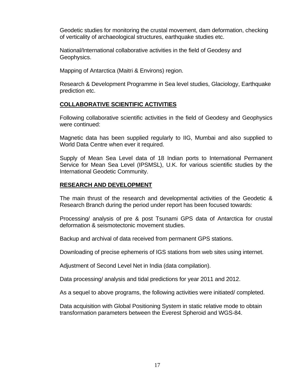Geodetic studies for monitoring the crustal movement, dam deformation, checking of verticality of archaeological structures, earthquake studies etc.

National/International collaborative activities in the field of Geodesy and Geophysics.

Mapping of Antarctica (Maitri & Environs) region.

Research & Development Programme in Sea level studies, Glaciology, Earthquake prediction etc.

#### **COLLABORATIVE SCIENTIFIC ACTIVITIES**

Following collaborative scientific activities in the field of Geodesy and Geophysics were continued:

Magnetic data has been supplied regularly to IIG, Mumbai and also supplied to World Data Centre when ever it required.

Supply of Mean Sea Level data of 18 Indian ports to International Permanent Service for Mean Sea Level (IPSMSL), U.K. for various scientific studies by the International Geodetic Community.

#### **RESEARCH AND DEVELOPMENT**

The main thrust of the research and developmental activities of the Geodetic & Research Branch during the period under report has been focused towards:

Processing/ analysis of pre & post Tsunami GPS data of Antarctica for crustal deformation & seismotectonic movement studies.

Backup and archival of data received from permanent GPS stations.

Downloading of precise ephemeris of IGS stations from web sites using internet.

Adjustment of Second Level Net in India (data compilation).

Data processing/ analysis and tidal predictions for year 2011 and 2012.

As a sequel to above programs, the following activities were initiated/ completed.

Data acquisition with Global Positioning System in static relative mode to obtain transformation parameters between the Everest Spheroid and WGS-84.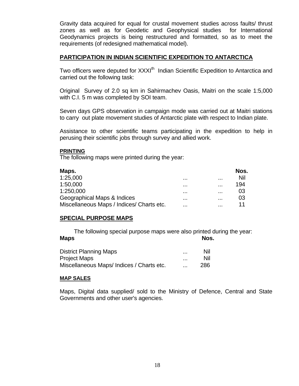Gravity data acquired for equal for crustal movement studies across faults/ thrust zones as well as for Geodetic and Geophysical studies for International Geodynamics projects is being restructured and formatted, so as to meet the requirements (of redesigned mathematical model).

#### **PARTICIPATION IN INDIAN SCIENTIFIC EXPEDITION TO ANTARCTICA**

Two officers were deputed for XXXI<sup>th</sup> Indian Scientific Expedition to Antarctica and carried out the following task:

Original Survey of 2.0 sq km in Sahirmachev Oasis, Maitri on the scale 1:5,000 with C.I. 5 m was completed by SOI team.

Seven days GPS observation in campaign mode was carried out at Maitri stations to carry out plate movement studies of Antarctic plate with respect to Indian plate.

Assistance to other scientific teams participating in the expedition to help in perusing their scientific jobs through survey and allied work.

#### **PRINTING**

The following maps were printed during the year:

| Maps.                                     |   |          | Nos. |
|-------------------------------------------|---|----------|------|
| 1:25,000                                  |   | $\cdots$ | Nil  |
| 1:50,000                                  |   | $\cdots$ | 194  |
| 1:250,000                                 |   | $\cdots$ | 03   |
| Geographical Maps & Indices               | . | $\cdots$ | 03   |
| Miscellaneous Maps / Indices/ Charts etc. | . | $\cdots$ | 11   |

#### **SPECIAL PURPOSE MAPS**

 The following special purpose maps were also printed during the year: Maps **Maps** Nos.

| <b>District Planning Maps</b>            |          | Nil |
|------------------------------------------|----------|-----|
| <b>Project Maps</b>                      |          | Nil |
| Miscellaneous Maps/Indices / Charts etc. | $\cdots$ | 286 |

#### **MAP SALES**

Maps, Digital data supplied/ sold to the Ministry of Defence, Central and State Governments and other user's agencies.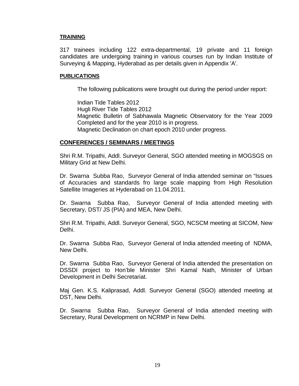#### **TRAINING**

317 trainees including 122 extra-departmental, 19 private and 11 foreign candidates are undergoing training in various courses run by Indian Institute of Surveying & Mapping, Hyderabad as per details given in Appendix 'A'.

#### **PUBLICATIONS**

The following publications were brought out during the period under report:

 Indian Tide Tables 2012 Hugli River Tide Tables 2012 Magnetic Bulletin of Sabhawala Magnetic Observatory for the Year 2009 Completed and for the year 2010 is in progress. Magnetic Declination on chart epoch 2010 under progress.

#### **CONFERENCES / SEMINARS / MEETINGS**

Shri R.M. Tripathi, Addl. Surveyor General, SGO attended meeting in MOGSGS on Military Grid at New Delhi.

Dr. Swarna Subba Rao, Surveyor General of India attended seminar on "Issues of Accuracies and standards fro large scale mapping from High Resolution Satellite Imageries at Hyderabad on 11.04.2011.

Dr. Swarna Subba Rao, Surveyor General of India attended meeting with Secretary, DST/ JS (PIA) and MEA, New Delhi.

Shri R.M. Tripathi, Addl. Surveyor General, SGO, NCSCM meeting at SICOM, New Delhi.

Dr. Swarna Subba Rao, Surveyor General of India attended meeting of NDMA, New Delhi.

Dr. Swarna Subba Rao, Surveyor General of India attended the presentation on DSSDI project to Hon'ble Minister Shri Kamal Nath, Minister of Urban Development in Delhi Secretariat.

Maj Gen. K.S. Kaliprasad, Addl. Surveyor General (SGO) attended meeting at DST, New Delhi.

Dr. Swarna Subba Rao, Surveyor General of India attended meeting with Secretary, Rural Development on NCRMP in New Delhi.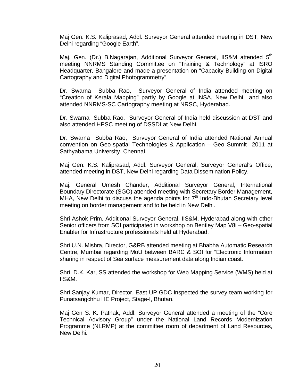Maj Gen. K.S. Kaliprasad, Addl. Surveyor General attended meeting in DST, New Delhi regarding "Google Earth".

Maj. Gen. (Dr.) B.Nagarajan, Additional Surveyor General, IIS&M attended 5<sup>th</sup> meeting NNRMS Standing Committee on "Training & Technology" at ISRO Headquarter, Bangalore and made a presentation on "Capacity Building on Digital Cartography and Digital Photogrammetry".

Dr. Swarna Subba Rao, Surveyor General of India attended meeting on "Creation of Kerala Mapping" partly by Google at INSA, New Delhi and also attended NNRMS-SC Cartography meeting at NRSC, Hyderabad.

Dr. Swarna Subba Rao, Surveyor General of India held discussion at DST and also attended HPSC meeting of DSSDI at New Delhi.

Dr. Swarna Subba Rao, Surveyor General of India attended National Annual convention on Geo-spatial Technologies & Application – Geo Summit 2011 at Sathyabama University, Chennai.

Maj Gen. K.S. Kaliprasad, Addl. Surveyor General, Surveyor General's Office, attended meeting in DST, New Delhi regarding Data Dissemination Policy.

Maj. General Umesh Chander, Additional Surveyor General, International Boundary Directorate (SGO) attended meeting with Secretary Border Management, MHA, New Delhi to discuss the agenda points for  $7<sup>th</sup>$  Indo-Bhutan Secretary level meeting on border management and to be held in New Delhi.

Shri Ashok Prim, Additional Surveyor General, IIS&M, Hyderabad along with other Senior officers from SOI participated in workshop on Bentley Map V8i – Geo-spatial Enabler for Infrastructure professionals held at Hyderabad.

Shri U.N. Mishra, Director, G&RB attended meeting at Bhabha Automatic Research Centre, Mumbai regarding MoU between BARC & SOI for "Electronic Information sharing in respect of Sea surface measurement data along Indian coast.

Shri D.K. Kar, SS attended the workshop for Web Mapping Service (WMS) held at IIS&M.

Shri Sanjay Kumar, Director, East UP GDC inspected the survey team working for Punatsangchhu HE Project, Stage-I, Bhutan.

Maj Gen S. K. Pathak, Addl. Surveyor General attended a meeting of the "Core Technical Advisory Group" under the National Land Records Modernization Programme (NLRMP) at the committee room of department of Land Resources, New Delhi.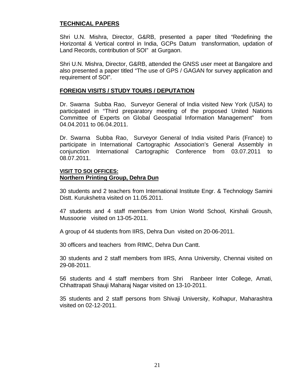#### **TECHNICAL PAPERS**

Shri U.N. Mishra, Director, G&RB, presented a paper tilted "Redefining the Horizontal & Vertical control in India, GCPs Datum transformation, updation of Land Records, contribution of SOI" at Gurgaon.

Shri U.N. Mishra, Director, G&RB, attended the GNSS user meet at Bangalore and also presented a paper titled "The use of GPS / GAGAN for survey application and requirement of SOI".

#### **FOREIGN VISITS / STUDY TOURS / DEPUTATION**

Dr. Swarna Subba Rao, Surveyor General of India visited New York (USA) to participated in "Third preparatory meeting of the proposed United Nations Committee of Experts on Global Geospatial Information Management" from 04.04.2011 to 06.04.2011.

Dr. Swarna Subba Rao, Surveyor General of India visited Paris (France) to participate in International Cartographic Association's General Assembly in conjunction International Cartographic Conference from 03.07.2011 to 08.07.2011.

#### **VISIT TO SOI OFFICES: Northern Printing Group, Dehra Dun**

30 students and 2 teachers from International Institute Engr. & Technology Samini Distt. Kurukshetra visited on 11.05.2011.

47 students and 4 staff members from Union World School, Kirshali Groush, Mussoorie visited on 13-05-2011.

A group of 44 students from IIRS, Dehra Dun visited on 20-06-2011.

30 officers and teachers from RIMC, Dehra Dun Cantt.

30 students and 2 staff members from IIRS, Anna University, Chennai visited on 29-08-2011.

56 students and 4 staff members from Shri Ranbeer Inter College, Amati, Chhattrapati Shauji Maharaj Nagar visited on 13-10-2011.

35 students and 2 staff persons from Shivaji University, Kolhapur, Maharashtra visited on 02-12-2011.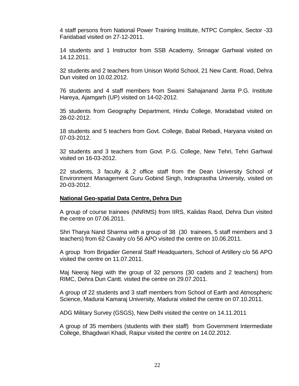4 staff persons from National Power Training Institute, NTPC Complex, Sector -33 Faridabad visited on 27-12-2011.

14 students and 1 Instructor from SSB Academy, Srinagar Garhwal visited on 14.12.2011.

32 students and 2 teachers from Unison World School, 21 New Cantt. Road, Dehra Dun visited on 10.02.2012.

76 students and 4 staff members from Swami Sahajanand Janta P.G. Institute Hareya, Ajamgarh (UP) visited on 14-02-2012.

35 students from Geography Department, Hindu College, Moradabad visited on 28-02-2012.

18 students and 5 teachers from Govt. College, Babal Rebadi, Haryana visited on 07-03-2012.

32 students and 3 teachers from Govt. P.G. College, New Tehri, Tehri Garhwal visited on 16-03-2012.

22 students, 3 faculty & 2 office staff from the Dean University School of Environment Management Guru Gobind Singh, Indraprastha University, visited on 20-03-2012.

#### **National Geo-spatial Data Centre, Dehra Dun**

A group of course trainees (NNRMS) from IIRS, Kalidas Raod, Dehra Dun visited the centre on 07.06.2011.

Shri Tharya Nand Sharma with a group of 38 (30 trainees, 5 staff members and 3 teachers) from 62 Cavalry c/o 56 APO visited the centre on 10.06.2011.

A group from Brigadier General Staff Headquarters, School of Artillery c/o 56 APO visited the centre on 11.07.2011.

Maj Neeraj Negi with the group of 32 persons (30 cadets and 2 teachers) from RIMC, Dehra Dun Cantt. visited the centre on 29.07.2011.

A group of 22 students and 3 staff members from School of Earth and Atmospheric Science, Madurai Kamaraj University, Madurai visited the centre on 07.10.2011.

ADG Military Survey (GSGS), New Delhi visited the centre on 14.11.2011

A group of 35 members (students with their staff) from Government Intermediate College, Bhagdwari Khadi, Raipur visited the centre on 14.02.2012.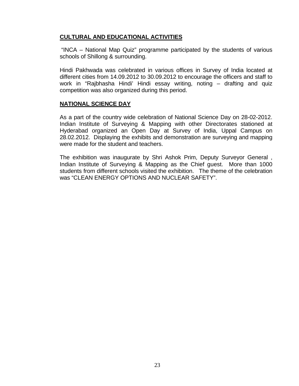#### **CULTURAL AND EDUCATIONAL ACTIVITIES**

 "INCA – National Map Quiz" programme participated by the students of various schools of Shillong & surrounding.

Hindi Pakhwada was celebrated in various offices in Survey of India located at different cities from 14.09.2012 to 30.09.2012 to encourage the officers and staff to work in "Rajbhasha Hindi' Hindi essay writing, noting – drafting and quiz competition was also organized during this period.

#### **NATIONAL SCIENCE DAY**

As a part of the country wide celebration of National Science Day on 28-02-2012. Indian Institute of Surveying & Mapping with other Directorates stationed at Hyderabad organized an Open Day at Survey of India, Uppal Campus on 28.02.2012. Displaying the exhibits and demonstration are surveying and mapping were made for the student and teachers.

The exhibition was inaugurate by Shri Ashok Prim, Deputy Surveyor General , Indian Institute of Surveying & Mapping as the Chief guest. More than 1000 students from different schools visited the exhibition. The theme of the celebration was "CLEAN ENERGY OPTIONS AND NUCLEAR SAFETY".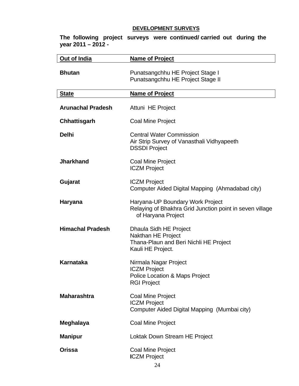### **DEVELOPMENT SURVEYS**

| Out of India             | <b>Name of Project</b>                                                                                             |
|--------------------------|--------------------------------------------------------------------------------------------------------------------|
| <b>Bhutan</b>            | Punatsangchhu HE Project Stage I<br>Punatsangchhu HE Project Stage II                                              |
| <b>State</b>             | <b>Name of Project</b>                                                                                             |
| <b>Arunachal Pradesh</b> | Attuni HE Project                                                                                                  |
| <b>Chhattisgarh</b>      | Coal Mine Project                                                                                                  |
| <b>Delhi</b>             | <b>Central Water Commission</b><br>Air Strip Survey of Vanasthali Vidhyapeeth<br><b>DSSDI Project</b>              |
| <b>Jharkhand</b>         | Coal Mine Project<br><b>ICZM Project</b>                                                                           |
| Gujarat                  | <b>ICZM Project</b><br>Computer Aided Digital Mapping (Ahmadabad city)                                             |
| <b>Haryana</b>           | Haryana-UP Boundary Work Project<br>Relaying of Bhakhra Grid Junction point in seven village<br>of Haryana Project |
| <b>Himachal Pradesh</b>  | Dhaula Sidh HE Project<br>Nakthan HE Project<br>Thana-Plaun and Beri Nichli HE Project<br>Kauli HE Project.        |
| Karnataka                | Nirmala Nagar Project<br><b>ICZM Project</b><br>Police Location & Maps Project<br><b>RGI Project</b>               |
| <b>Maharashtra</b>       | Coal Mine Project<br><b>ICZM Project</b><br>Computer Aided Digital Mapping (Mumbai city)                           |
| Meghalaya                | Coal Mine Project                                                                                                  |
| <b>Manipur</b>           | Loktak Down Stream HE Project                                                                                      |
| <b>Orissa</b>            | Coal Mine Project<br><b>ICZM Project</b>                                                                           |

**The following project surveys were continued/ carried out during the year 2011 – 2012 -**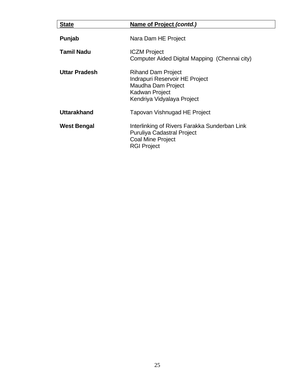| <b>State</b>         | Name of Project (contd.)                                                                                                             |
|----------------------|--------------------------------------------------------------------------------------------------------------------------------------|
| Punjab               | Nara Dam HE Project                                                                                                                  |
| Tamil Nadu           | <b>ICZM Project</b><br>Computer Aided Digital Mapping (Chennai city)                                                                 |
| <b>Uttar Pradesh</b> | <b>Rihand Dam Project</b><br>Indrapuri Reservoir HE Project<br>Maudha Dam Project<br>Kadwan Project<br>Kendriya Vidyalaya Project    |
| <b>Uttarakhand</b>   | Tapovan Vishnugad HE Project                                                                                                         |
| West Bengal          | Interlinking of Rivers Farakka Sunderban Link<br><b>Puruliya Cadastral Project</b><br><b>Coal Mine Project</b><br><b>RGI Project</b> |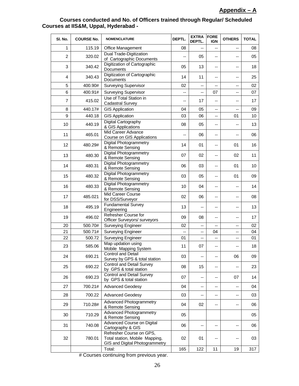#### **Courses conducted and No. of Officers trained through Regular/ Scheduled Courses at IIS&M, Uppal, Hyderabad -**

| SI. No.        | <b>COURSE No.</b> | <b>NOMENCLATURE</b>                                                                          | DEPTL.                   | <b>EXTRA</b><br>DEPTL.   | <b>FORE</b><br><b>IGN</b> | <b>OTHERS</b>            | <b>TOTAL</b> |
|----------------|-------------------|----------------------------------------------------------------------------------------------|--------------------------|--------------------------|---------------------------|--------------------------|--------------|
| $\mathbf{1}$   | 115.19            | <b>Office Management</b>                                                                     | 08                       | $\overline{\phantom{a}}$ | --                        | --                       | 08           |
| $\overline{c}$ | 320.02            | Dual Trade-Digitization<br>of Cartographic Documents                                         | $\overline{\phantom{a}}$ | 05                       | --                        | --                       | 05           |
| 3              | 340.42            | Digitization of Cartographic<br>Documents                                                    | 05                       | 13                       | --                        |                          | 18           |
| 4              | 340.43            | Digitization of Cartographic<br>Documents                                                    | 14                       | 11                       | $\overline{\phantom{a}}$  | $\overline{\phantom{a}}$ | 25           |
| 5              | 400.90#           | <b>Surveying Supervisor</b>                                                                  | 02                       | --                       | --                        | --                       | 02           |
| 6              | 400.91#           | <b>Surveying Supervisor</b>                                                                  | --                       | --                       | 07                        | --                       | 07           |
| 7              | 415.02            | Use of Total Station in<br><b>Cadastral Survey</b>                                           | --                       | 17                       | --                        |                          | 17           |
| 8              | 440.17#           | <b>GIS Application</b>                                                                       | 04                       | 05                       | --                        | --                       | 09           |
| 9              | 440.18            | <b>GIS Application</b>                                                                       | 03                       | 06                       | $\frac{1}{2}$             | 01                       | 10           |
| 10             | 440.19            | Digital Cartography<br>& GIS Applications                                                    | 08                       | 05                       | --                        | --                       | 13           |
| 11             | 465.01            | Mid Career Advance<br>Course on GIS Applications                                             | --                       | 06                       | --                        |                          | 06           |
| 12             | 480.29#           | <b>Digital Photogrammetry</b><br>& Remote Sensing                                            | 14                       | 01                       | --                        | 01                       | 16           |
| 13             | 480.30            | <b>Digital Photogrammetry</b><br>& Remote Sensing                                            | 07                       | 02                       | --                        | 02                       | 11           |
| 14             | 480.31            | <b>Digital Photogrammetry</b><br>& Remote Sensing                                            | 06                       | 03                       | --                        | 01                       | 10           |
| 15             | 480.32            | <b>Digital Photogrammetry</b><br>& Remote Sensing                                            | 03                       | 05                       | --                        | 01                       | 09           |
| 16             | 480.33            | <b>Digital Photogrammetry</b><br>& Remote Sensing                                            | 10                       | 04                       | --                        |                          | 14           |
| 17             | 485.021           | Mid Career Course<br>for DSS/Surveyor                                                        | 02                       | 06                       | --                        | --                       | 08           |
| 18             | 495.19            | Fundamental Survey<br>Engineering                                                            | 13                       | $\overline{\phantom{a}}$ | --                        | --                       | 13           |
| 19             | 496.02            | Refresher Course for<br>Officer Surveyors/ surveyors                                         | 09                       | 08                       | --                        | --                       | 17           |
| 20             | 500.70#           | Surveying Engineer                                                                           | 02                       | --                       | $\overline{\phantom{a}}$  | $\overline{\phantom{a}}$ | 02           |
| 21             | 500.71#           | Surveying Engineer                                                                           | --                       | --                       | 04                        | --                       | 04           |
| 22             | 500.72            | Surveying Engineer                                                                           | 01                       | --                       | --                        | --                       | 01           |
| 23             | 585.06            | Map updation using<br>Mobile Mapping System                                                  | 11                       | 07                       | --                        |                          | 18           |
| 24             | 690.21            | Control and Detail<br>Survey by GPS & total station                                          | 03                       | --                       | --                        | 06                       | 09           |
| 25             | 690.22            | Control and Detail Survey<br>by GPS & total station                                          | 08                       | 15                       | --                        |                          | 23           |
| 26             | 690.23            | Control and Detail Survey<br>by GPS & total station                                          | 07                       | --                       | --                        | 07                       | 14           |
| 27             | 700.21#           | <b>Advanced Geodesy</b>                                                                      | 04                       | --                       | --                        | --                       | 04           |
| 28             | 700.22            | <b>Advanced Geodesy</b>                                                                      | 03                       | --                       | --                        | --                       | 03           |
| 29             | 710.28#           | <b>Advanced Photogrammetry</b><br>& Remote Sensing                                           | 04                       | 02                       | --                        | --                       | 06           |
| 30             | 710.29            | <b>Advanced Photogrammetry</b><br>& Remote Sensing                                           | 05                       |                          |                           |                          | 05           |
| 31             | 740.08            | Advanced Course on Digital<br>Cartography & GIS                                              | 06                       | --                       | --                        | --                       | 06           |
| 32             | 780.01            | Refresher Course on GPS,<br>Total station, Mobile Mapping,<br>GIS and Digital Photogrammetry | 02                       | 01                       | --                        |                          | 03           |
|                |                   | Total:                                                                                       | 165                      | 122                      | 11                        | 19                       | 317          |

# Courses continuing from previous year.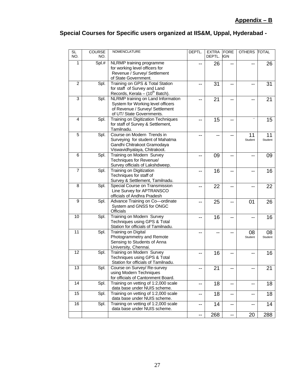## **Special Courses for Specific users organized at IIS&M, Uppal, Hyderabad -**

| <b>SL</b><br>NO. | <b>COURSE</b><br>NO. | <b>NOMENCLATURE</b>                                                  | DEPTL. | <b>EXTRA</b><br>DEPTL. | FORE<br><b>IGN</b>       | <b>OTHERS</b>            | <b>TOTAL</b>  |
|------------------|----------------------|----------------------------------------------------------------------|--------|------------------------|--------------------------|--------------------------|---------------|
| 1.               | Spl.#                | NLRMP training programme                                             |        | 26                     |                          |                          | 26            |
|                  |                      | for working level officers for                                       |        |                        |                          |                          |               |
|                  |                      | Revenue / Survey/ Settlement                                         |        |                        |                          |                          |               |
|                  |                      | of State Government.                                                 |        |                        |                          |                          |               |
| $\overline{c}$   | Spl.                 | Training on GPS & Total Station                                      | --     | 31                     | --                       |                          | 31            |
|                  |                      | for staff of Survey and Land                                         |        |                        |                          |                          |               |
|                  |                      | Records, Kerala - (10 <sup>th</sup> Batch).                          |        |                        |                          |                          |               |
| 3                | Spl.                 | NLRMP training on Land Information                                   |        | 21                     |                          |                          | 21            |
|                  |                      | System for Working level officers<br>of Revenue / Survey/ Settlement |        |                        |                          |                          |               |
|                  |                      | of UT/ State Governments.                                            |        |                        |                          |                          |               |
| 4                | Spl.                 | <b>Training on Digitization Techniques</b>                           | --     | 15                     | --                       |                          | 15            |
|                  |                      | for staff of Survey & Settlement,                                    |        |                        |                          |                          |               |
|                  |                      | Tamilnadu.                                                           |        |                        |                          |                          |               |
| 5                | Spl.                 | Course on Modern Trends in                                           |        | --                     |                          | 11                       | 11            |
|                  |                      | Surveying for student of Mahatma                                     |        |                        |                          | Student                  | Student       |
|                  |                      | Gandhi Chitrakoot Gramodaya                                          |        |                        |                          |                          |               |
|                  |                      | Viswavidhyalaya, Chitrakoot.                                         |        |                        |                          |                          |               |
| 6                | Spl.                 | Training on Modern Survey                                            | --     | 09                     | --                       |                          | 09            |
|                  |                      | Techniques for Revenue/                                              |        |                        |                          |                          |               |
|                  |                      | Survey officials of Lakshdweep.                                      |        |                        |                          |                          |               |
| 7                | Spl.                 | <b>Training on Digitization</b><br>Techniques for staff of           | --     | 16                     | --                       |                          | 16            |
|                  |                      | Survey & Settlement, Tamilnadu.                                      |        |                        |                          |                          |               |
| 8                | Spl.                 | Special Course on Transmission                                       |        | 22                     | --                       |                          | 22            |
|                  |                      | Line Survey for APTRANSCO                                            |        |                        |                          |                          |               |
|                  |                      | officials of Andhra Pradesh                                          |        |                        |                          |                          |               |
| 9                | Spl.                 | Advance Training on Co-ordinate                                      | --     | 25                     | --                       | 01                       | 26            |
|                  |                      | System and GNSS for ONGC                                             |        |                        |                          |                          |               |
|                  |                      | <b>Officials</b>                                                     |        |                        |                          |                          |               |
| 10               | Spl.                 | <b>Training on Modern Survey</b>                                     |        | 16                     |                          |                          | 16            |
|                  |                      | Techniques using GPS & Total                                         |        |                        |                          |                          |               |
| 11               | Spl.                 | Station for officials of Tamilnadu.<br>Training on Digital           |        |                        |                          |                          |               |
|                  |                      | Photogrammetry and Remote                                            |        | --                     |                          | 08<br>Student            | 08<br>Student |
|                  |                      | Sensing to Students of Anna                                          |        |                        |                          |                          |               |
|                  |                      | University, Chennai.                                                 |        |                        |                          |                          |               |
| 12               | Spl.                 | Training on Modern Survey                                            | --     | 16                     |                          |                          | 16            |
|                  |                      | Techniques using GPS & Total                                         |        |                        |                          |                          |               |
|                  |                      | Station for officials of Tamilnadu.                                  |        |                        |                          |                          |               |
| 13               | Spl.                 | Course on Survey/ Re-survey                                          | --     | 21                     | --                       | --                       | 21            |
|                  |                      | using Modern Techniques                                              |        |                        |                          |                          |               |
|                  |                      | for officials of Cantonment Board.                                   |        |                        |                          |                          |               |
| 14               | Spl.                 | Training on vetting of 1:2,000 scale                                 | --     | 18                     | --                       | --                       | 18            |
| 15               | Spl.                 | data base under NUIS scheme.<br>Training on vetting of 1:2,000 scale |        |                        |                          |                          |               |
|                  |                      | data base under NUIS scheme.                                         | --     | 18                     | --                       | $\overline{\phantom{a}}$ | 18            |
| 16               | Spl.                 | Training on vetting of 1:2,000 scale                                 | --     | 14                     | $\overline{\phantom{a}}$ | --                       | 14            |
|                  |                      | data base under NUIS scheme.                                         |        |                        |                          |                          |               |
|                  |                      |                                                                      | --     | 268                    | --                       | 20                       | 288           |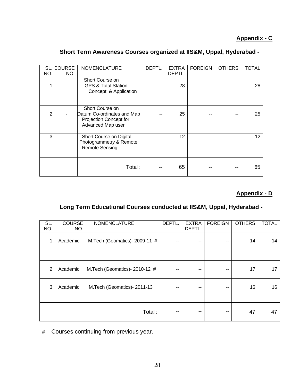### **Appendix - C**

| SL.<br>NO.     | <b>COURSE</b><br>NO. | <b>NOMENCLATURE</b>                                                                          | DEPTL. | <b>EXTRA</b><br>DEPTL. | <b>FOREIGN</b> | <b>OTHERS</b> | <b>TOTAL</b> |
|----------------|----------------------|----------------------------------------------------------------------------------------------|--------|------------------------|----------------|---------------|--------------|
| 1              |                      | Short Course on<br><b>GPS &amp; Total Station</b><br>Concept & Application                   |        | 28                     |                |               | 28           |
| $\overline{2}$ |                      | Short Course on<br>Datum Co-ordinates and Map<br>Projection Concept for<br>Advanced Map user |        | 25                     |                |               | 25           |
| 3              |                      | Short Course on Digital<br>Photogrammetry & Remote<br><b>Remote Sensing</b>                  |        | 12                     |                |               | 12           |
|                |                      | Total:                                                                                       |        | 65                     |                |               | 65           |

#### **Short Term Awareness Courses organized at IIS&M, Uppal, Hyderabad -**

## **Appendix - D**

### **Long Term Educational Courses conducted at IIS&M, Uppal, Hyderabad -**

| SL.<br>NO.     | <b>COURSE</b><br>NO. | <b>NOMENCLATURE</b>           | DEPTL. | <b>EXTRA</b><br>DEPTL. | <b>FOREIGN</b> | <b>OTHERS</b> | <b>TOTAL</b> |
|----------------|----------------------|-------------------------------|--------|------------------------|----------------|---------------|--------------|
| $\mathbf 1$    | Academic             | M.Tech (Geomatics)- 2009-11 # | --     |                        | --             | 14            | 14           |
| $\overline{2}$ | Academic             | M.Tech (Geomatics)- 2010-12 # | --     |                        | --             | 17            | 17           |
| 3              | Academic             | M.Tech (Geomatics)- 2011-13   |        | --                     | --             | 16            | 16           |
|                |                      | Total:                        | --     | --                     | --             | 47            | 47           |

#Courses continuing from previous year.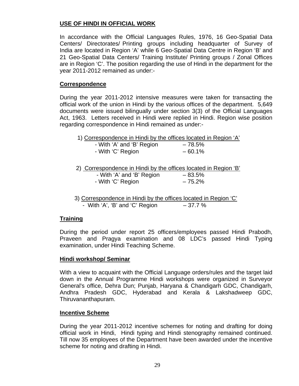#### **USE OF HINDI IN OFFICIAL WORK**

In accordance with the Official Languages Rules, 1976, 16 Geo-Spatial Data Centers/ Directorates/ Printing groups including headquarter of Survey of India are located in Region 'A' while 6 Geo-Spatial Data Centre in Region 'B' and 21 Geo-Spatial Data Centers/ Training Institute/ Printing groups / Zonal Offices are in Region 'C'. The position regarding the use of Hindi in the department for the year 2011-2012 remained as under:-

#### **Correspondence**

During the year 2011-2012 intensive measures were taken for transacting the official work of the union in Hindi by the various offices of the department. 5,649 documents were issued bilingually under section 3(3) of the Official Languages Act, 1963. Letters received in Hindi were replied in Hindi. Region wise position regarding correspondence in Hindi remained as under:-

1) Correspondence in Hindi by the offices located in Region 'A'

| - With 'A' and 'B' Region | $-78.5\%$ |
|---------------------------|-----------|
| - With 'C' Region         | $-60.1%$  |

2) Correspondence in Hindi by the offices located in Region 'B'

| - With 'A' and 'B' Region | $-83.5%$ |
|---------------------------|----------|
| - With 'C' Region         | $-75.2%$ |

 3) Correspondence in Hindi by the offices located in Region 'C' - With 'A', 'B' and 'C' Region  $-37.7\%$ 

#### **Training**

During the period under report 25 officers/employees passed Hindi Prabodh, Praveen and Pragya examination and 08 LDC's passed Hindi Typing examination, under Hindi Teaching Scheme.

#### **Hindi workshop/ Seminar**

With a view to acquaint with the Official Language orders/rules and the target laid down in the Annual Programme Hindi workshops were organized in Surveyor General's office, Dehra Dun; Punjab, Haryana & Chandigarh GDC, Chandigarh, Andhra Pradesh GDC, Hyderabad and Kerala & Lakshadweep GDC, Thiruvananthapuram.

#### **Incentive Scheme**

During the year 2011-2012 incentive schemes for noting and drafting for doing official work in Hindi, Hindi typing and Hindi stenography remained continued. Till now 35 employees of the Department have been awarded under the incentive scheme for noting and drafting in Hindi.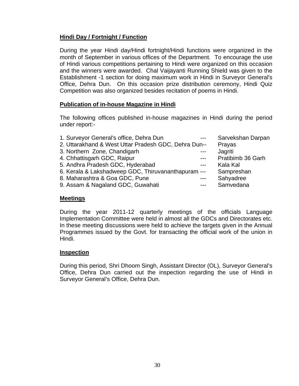### **Hindi Day / Fortnight / Function**

During the year Hindi day/Hindi fortnight/Hindi functions were organized in the month of September in various offices of the Department. To encourage the use of Hindi various competitions pertaining to Hindi were organized on this occasion and the winners were awarded. Chal Vaijayanti Running Shield was given to the Establishment -1 section for doing maximum work in Hindi in Surveyor General's Office, Dehra Dun. On this occasion prize distribution ceremony, Hindi Quiz Competition was also organized besides recitation of poems in Hindi.

#### **Publication of in-house Magazine in Hindi**

The following offices published in-house magazines in Hindi during the period under report:-

| 1. Surveyor General's office, Dehra Dun              |       | Sarvekshan Darpan |
|------------------------------------------------------|-------|-------------------|
| 2. Uttarakhand & West Uttar Pradesh GDC, Dehra Dun-- |       | Prayas            |
| 3. Northern Zone, Chandigarh                         |       | Jagriti           |
| 4. Chhattisgarh GDC, Raipur                          |       | Pratibimb 36 Garh |
| 5. Andhra Pradesh GDC, Hyderabad                     | $---$ | Kala Kal          |
| 6. Kerala & Lakshadweep GDC, Thiruvananthapuram ---  |       | Sampreshan        |
| 8. Maharashtra & Goa GDC, Pune                       |       | Sahyadree         |
| 9. Assam & Nagaland GDC, Guwahati                    | $---$ | Samvedana         |
|                                                      |       |                   |

#### **Meetings**

During the year 2011-12 quarterly meetings of the officials Language Implementation Committee were held in almost all the GDCs and Directorates etc. In these meeting discussions were held to achieve the targets given in the Annual Programmes issued by the Govt. for transacting the official work of the union in Hindi.

#### **Inspection**

During this period, Shri Dhoom Singh, Assistant Director (OL), Surveyor General's Office, Dehra Dun carried out the inspection regarding the use of Hindi in Surveyor General's Office, Dehra Dun.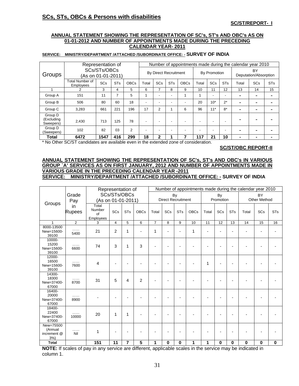#### **SCs, STs, OBCs & Persons with disabilities**

#### **SC/ST/REPORT- I**

#### **ANNUAL STATEMENT SHOWING THE REPRESENTATION OF SC's, ST's AND OBC's AS ON 01-01-2012 AND NUMBER OF APPOINTMENTS MADE DURING THE PRECEDING CALENDAR YEAR- 2011**

#### **SERVICE: MINISTRY/DEPARTMENT /ATTACHED /SUBORDINATE OFFICE: - SURVEY OF INDIA**

|                                    | Representation of                          | Number of appointments made during the calendar year 2010 |            |                |                          |                |            |             |                             |            |            |                          |            |                |
|------------------------------------|--------------------------------------------|-----------------------------------------------------------|------------|----------------|--------------------------|----------------|------------|-------------|-----------------------------|------------|------------|--------------------------|------------|----------------|
| <b>Groups</b>                      | SCs/STs/OBCs<br>(As on 01-01-2011)         | <b>By Direct Recruitment</b>                              |            |                |                          | By Promotion   |            |             | BY<br>Deputation/Absorption |            |            |                          |            |                |
|                                    | <b>Total Number of</b><br><b>Employees</b> | <b>SCs</b>                                                | <b>STs</b> | <b>OBCs</b>    | Total                    | <b>SCs</b>     | <b>STs</b> | <b>OBCs</b> | Total                       | <b>SCs</b> | <b>STs</b> | Total                    | <b>SCs</b> | <b>STs</b>     |
|                                    |                                            | 3                                                         | 4          | 5              | 6                        |                | 8          | 9           | 10                          | 11         | 12         | 13                       | 14         | 15             |
| Group A                            | 151                                        | 11                                                        | 7          | 5              |                          | -              | -          |             |                             | -          | -          | $\overline{\phantom{0}}$ | ۰          | $\blacksquare$ |
| Group B                            | 506                                        | 80                                                        | 60         | 18             | ۰                        |                |            | ۰           | 20                          | $10*$      | $2^*$      | $\overline{\phantom{0}}$ |            |                |
| Group C                            | 3,283                                      | 661                                                       | 221        | 196            | 17                       | $\overline{2}$ |            | 6           | 96                          | $11*$      | $8*$       | $\overline{\phantom{0}}$ | ۰          |                |
| Group D<br>(Excluding<br>Sweepers) | 2,430                                      | 713                                                       | 125        | 78             | $\overline{\phantom{0}}$ |                |            |             | -                           |            |            |                          |            |                |
| Group D<br>(Sweepers)              | 102                                        | 82                                                        | 03         | $\overline{2}$ |                          |                |            |             | -                           |            |            | $\overline{\phantom{0}}$ | ۰          |                |
| Total                              | 6472                                       | 1547                                                      | 416        | 299            | 18                       | $\mathbf{2}$   |            |             | 117                         | 21         | 10         | -                        |            |                |

\* No Other SC/ST candidates are available even in the extended zone of consideration.

#### **SC/ST/OBC REPORT-II**

#### **ANNUAL STATEMENT SHOWING THE REPRESENTATION OF SC's, ST's AND OBC's IN VARIOUS GROUP `A' SERVICES AS ON FIRST JANUARY, 2012 AND NUMBER OF APPOINTMENTS MADE IN VARIOUS GRADE IN THE PRECEDING CALENDAR YEAR -2011 SERVICE: MINISTRY/DEPARTMENT /ATTACHED /SUBORDINATE OFFICE: - SURVEY OF INDIA**

|                                           |                | Representation of<br>SCs/STs/OBCs  |                           |                |                | Number of appointments made during the calendar year 2010 |                |            |             |                     |             |            |       |          |            |
|-------------------------------------------|----------------|------------------------------------|---------------------------|----------------|----------------|-----------------------------------------------------------|----------------|------------|-------------|---------------------|-------------|------------|-------|----------|------------|
| Groups                                    | Grade          |                                    |                           |                |                |                                                           |                | By         |             |                     | By          |            |       |          |            |
|                                           | Pay            | (As on 01-01-2011)                 | <b>Direct Recruitment</b> |                |                |                                                           | Promotion      |            |             | <b>Other Method</b> |             |            |       |          |            |
|                                           | in<br>Rupees   | Total<br>Number<br>of<br>Employees | SCs                       | <b>STs</b>     | <b>OBCs</b>    | Total                                                     | SCs            | <b>STs</b> | <b>OBCs</b> | Total               | SCs         | <b>STs</b> | Total | SCs      | <b>STs</b> |
| 1                                         | $\overline{2}$ | 3                                  | $\overline{4}$            | 5              | 6              | $\overline{7}$                                            | 8              | 9          | 10          | 11                  | 12          | 13         | 14    | 15       | 16         |
| 8000-13500<br>New=15600-<br>39100         | .<br>5400      | 21                                 | 2                         | 1              |                | 1                                                         | $\blacksquare$ |            | 1           |                     |             |            |       |          |            |
| 10000-<br>15200<br>New=15600-<br>39100    | .<br>6600      | 74                                 | 3                         | 1              | 3              |                                                           | $\overline{a}$ |            |             |                     |             |            |       |          |            |
| 12000-<br>16500<br>New=15600-<br>39100    | .<br>7600      | 4                                  |                           |                |                |                                                           |                |            |             | 1                   |             |            |       |          |            |
| 14300-<br>18300<br>New=37400-<br>67000    | .<br>8700      | 31                                 | 5                         | 4              | $\overline{2}$ |                                                           |                |            |             |                     |             |            |       |          |            |
| 16400-<br>20000<br>New=37400-<br>67000    | .<br>8900      |                                    |                           |                |                |                                                           |                |            |             |                     |             |            |       |          |            |
| 18400-<br>22400<br>New=37400-<br>67000    | .<br>10000     | 20                                 | 1                         | 1              |                |                                                           |                |            |             |                     |             |            |       |          |            |
| New=75500<br>(Annual<br>increment @<br>3% | .<br>Nil       | 1                                  |                           |                |                |                                                           |                |            |             |                     |             |            |       |          |            |
| <b>Total</b>                              |                | 151                                | 11                        | $\overline{7}$ | 5              | 1                                                         | 0              | 0          | 1           | 1                   | $\mathbf 0$ | 0          | 0     | $\bf{0}$ | 0          |

**NOTE:** If scales of pay in any service are different, applicable scales in the service may be indicated in column 1.